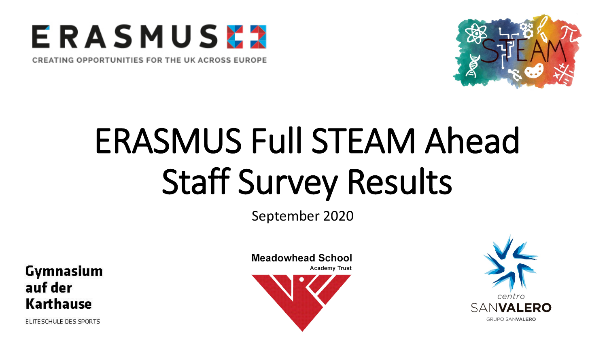

CREATING OPPORTUNITIES FOR THE UK ACROSS EUROPE



# ERASMUS Full STEAM Ahead Staff Survey Results

September 2020

Gymnasium auf der Karthause

ELITESCHULE DES SPORTS

**Meadowhead School Academy Trust** 

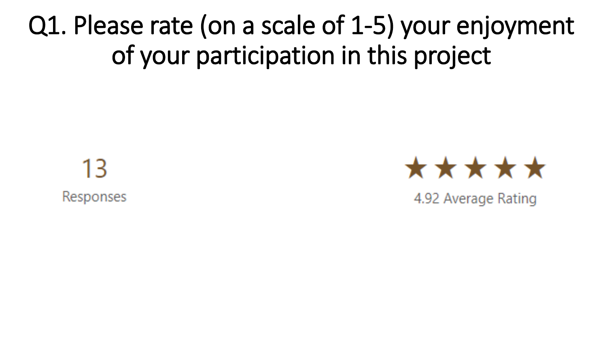Q1. Please rate (on a scale of 1-5) your enjoyment of your participation in this project

13 Responses



4.92 Average Rating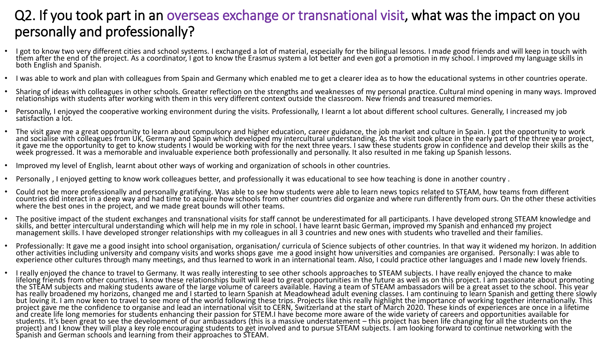#### Q2. If you took part in an overseas exchange or transnational visit, what was the impact on you personally and professionally?

- I got to know two very different cities and school systems. I exchanged a lot of material, especially for the bilingual lessons. I made good friends and will keep in touch with them after the end of the project. As a coo
- I was able to work and plan with colleagues from Spain and Germany which enabled me to get a clearer idea as to how the educational systems in other countries operate.
- Sharing of ideas with colleagues in other schools. Greater reflection on the strengths and weaknesses of my personal practice. Cultural mind opening in many ways. Improved relationships with students after working with t
- Personally, I enjoyed the cooperative working environment during the visits. Professionally, I learnt a lot about different school cultures. Generally, I increased my job satisfaction a lot.
- The visit gave me a great opportunity to learn about compulsory and higher education, career guidance, the job market and culture in Spain. I got the opportunity to work<br>and socialise with colleagues from UK, Germany and S
- Improved my level of English, learnt about other ways of working and organization of schools in other countries.
- Personally , I enjoyed getting to know work colleagues better, and professionally it was educational to see how teaching is done in another country .
- Could not be more professionally and personally gratifying. Was able to see how students were able to learn news topics related to STEAM, how teams from different countries did interact in a deep way and had time to acquire how schools from other countries did organize and where run differently from ours. On the other these activities where the best ones in the project, and we made
- The positive impact of the student exchanges and transnational visits for staff cannot be underestimated for all participants. I have developed strong STEAM knowledge and<br>skills, and better intercultural understanding wh
- Professionally: It gave me a good insight into school organisation, organisation/ curricula of Science subjects of other countries. In that way it widened my horizon. In addition other activities including university and
- I really enjoyed the chance to travel to Germany. It was really interesting to see other schools approaches to STEAM subjects. I have really enjoyed the chance to make<br>lifelong friends from other countries. I know these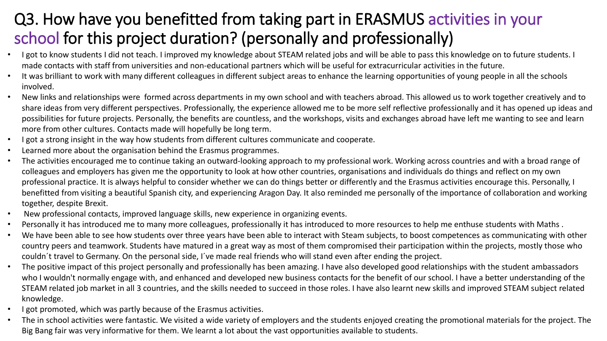### Q3. How have you benefitted from taking part in ERASMUS activities in your school for this project duration? (personally and professionally)

- I got to know students I did not teach. I improved my knowledge about STEAM related jobs and will be able to pass this knowledge on to future students. I made contacts with staff from universities and non-educational partners which will be useful for extracurricular activities in the future.
- It was brilliant to work with many different colleagues in different subject areas to enhance the learning opportunities of young people in all the schools involved.
- New links and relationships were formed across departments in my own school and with teachers abroad. This allowed us to work together creatively and to share ideas from very different perspectives. Professionally, the experience allowed me to be more self reflective professionally and it has opened up ideas and possibilities for future projects. Personally, the benefits are countless, and the workshops, visits and exchanges abroad have left me wanting to see and learn more from other cultures. Contacts made will hopefully be long term.
- I got a strong insight in the way how students from different cultures communicate and cooperate.
- Learned more about the organisation behind the Erasmus programmes.
- The activities encouraged me to continue taking an outward-looking approach to my professional work. Working across countries and with a broad range of colleagues and employers has given me the opportunity to look at how other countries, organisations and individuals do things and reflect on my own professional practice. It is always helpful to consider whether we can do things better or differently and the Erasmus activities encourage this. Personally, I benefitted from visiting a beautiful Spanish city, and experiencing Aragon Day. It also reminded me personally of the importance of collaboration and working together, despite Brexit.
- New professional contacts, improved language skills, new experience in organizing events.
- Personally it has introduced me to many more colleagues, professionally it has introduced to more resources to help me enthuse students with Maths .
- We have been able to see how students over three years have been able to interact with Steam subjects, to boost competences as communicating with other country peers and teamwork. Students have matured in a great way as most of them compromised their participation within the projects, mostly those who couldn´t travel to Germany. On the personal side, I´ve made real friends who will stand even after ending the project.
- The positive impact of this project personally and professionally has been amazing. I have also developed good relationships with the student ambassadors who I wouldn't normally engage with, and enhanced and developed new business contacts for the benefit of our school. I have a better understanding of the STEAM related job market in all 3 countries, and the skills needed to succeed in those roles. I have also learnt new skills and improved STEAM subject related knowledge.
- I got promoted, which was partly because of the Erasmus activities.
- The in school activities were fantastic. We visited a wide variety of employers and the students enjoyed creating the promotional materials for the project. The Big Bang fair was very informative for them. We learnt a lot about the vast opportunities available to students.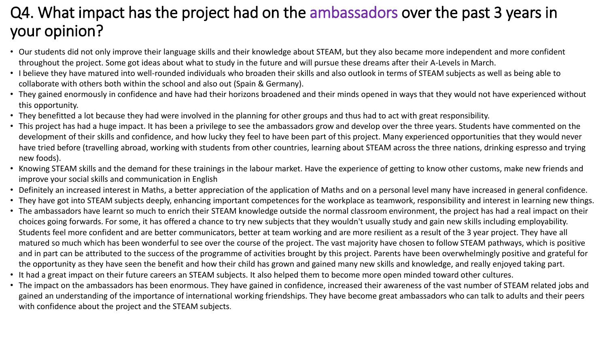### Q4. What impact has the project had on the ambassadors over the past 3 years in your opinion?

- Our students did not only improve their language skills and their knowledge about STEAM, but they also became more independent and more confident throughout the project. Some got ideas about what to study in the future and will pursue these dreams after their A-Levels in March.
- I believe they have matured into well-rounded individuals who broaden their skills and also outlook in terms of STEAM subjects as well as being able to collaborate with others both within the school and also out (Spain & Germany).
- They gained enormously in confidence and have had their horizons broadened and their minds opened in ways that they would not have experienced without this opportunity.
- They benefitted a lot because they had were involved in the planning for other groups and thus had to act with great responsibility.
- This project has had a huge impact. It has been a privilege to see the ambassadors grow and develop over the three years. Students have commented on the development of their skills and confidence, and how lucky they feel to have been part of this project. Many experienced opportunities that they would never have tried before (travelling abroad, working with students from other countries, learning about STEAM across the three nations, drinking espresso and trying new foods).
- Knowing STEAM skills and the demand for these trainings in the labour market. Have the experience of getting to know other customs, make new friends and improve your social skills and communication in English
- Definitely an increased interest in Maths, a better appreciation of the application of Maths and on a personal level many have increased in general confidence.
- They have got into STEAM subjects deeply, enhancing important competences for the workplace as teamwork, responsibility and interest in learning new things.
- The ambassadors have learnt so much to enrich their STEAM knowledge outside the normal classroom environment, the project has had a real impact on their choices going forwards. For some, it has offered a chance to try new subjects that they wouldn't usually study and gain new skills including employability. Students feel more confident and are better communicators, better at team working and are more resilient as a result of the 3 year project. They have all matured so much which has been wonderful to see over the course of the project. The vast majority have chosen to follow STEAM pathways, which is positive and in part can be attributed to the success of the programme of activities brought by this project. Parents have been overwhelmingly positive and grateful for the opportunity as they have seen the benefit and how their child has grown and gained many new skills and knowledge, and really enjoyed taking part.
- It had a great impact on their future careers an STEAM subjects. It also helped them to become more open minded toward other cultures.
- The impact on the ambassadors has been enormous. They have gained in confidence, increased their awareness of the vast number of STEAM related jobs and gained an understanding of the importance of international working friendships. They have become great ambassadors who can talk to adults and their peers with confidence about the project and the STEAM subjects.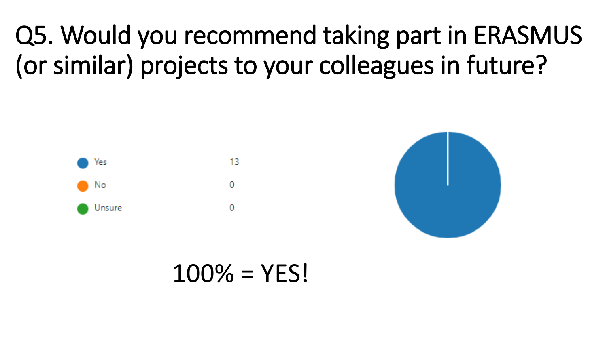Q5. Would you recommend taking part in ERASMUS (or similar) projects to your colleagues in future?



 $100\% = YFS!$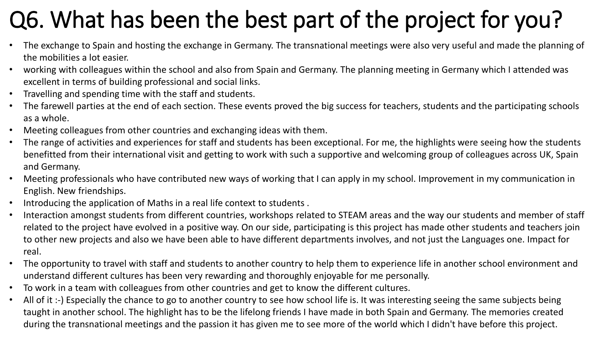# Q6. What has been the best part of the project for you?

- The exchange to Spain and hosting the exchange in Germany. The transnational meetings were also very useful and made the planning of the mobilities a lot easier.
- working with colleagues within the school and also from Spain and Germany. The planning meeting in Germany which I attended was excellent in terms of building professional and social links.
- Travelling and spending time with the staff and students.
- The farewell parties at the end of each section. These events proved the big success for teachers, students and the participating schools as a whole.
- Meeting colleagues from other countries and exchanging ideas with them.
- The range of activities and experiences for staff and students has been exceptional. For me, the highlights were seeing how the students benefitted from their international visit and getting to work with such a supportive and welcoming group of colleagues across UK, Spain and Germany.
- Meeting professionals who have contributed new ways of working that I can apply in my school. Improvement in my communication in English. New friendships.
- Introducing the application of Maths in a real life context to students .
- Interaction amongst students from different countries, workshops related to STEAM areas and the way our students and member of staff related to the project have evolved in a positive way. On our side, participating is this project has made other students and teachers join to other new projects and also we have been able to have different departments involves, and not just the Languages one. Impact for real.
- The opportunity to travel with staff and students to another country to help them to experience life in another school environment and understand different cultures has been very rewarding and thoroughly enjoyable for me personally.
- To work in a team with colleagues from other countries and get to know the different cultures.
- All of it :-) Especially the chance to go to another country to see how school life is. It was interesting seeing the same subjects being taught in another school. The highlight has to be the lifelong friends I have made in both Spain and Germany. The memories created during the transnational meetings and the passion it has given me to see more of the world which I didn't have before this project.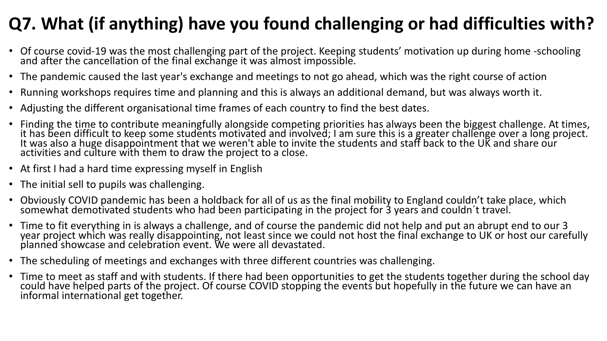### **Q7. What (if anything) have you found challenging or had difficulties with?**

- Of course covid-19 was the most challenging part of the project. Keeping students' motivation up during home -schooling and after the cancellation of the final exchange it was almost impossible.
- The pandemic caused the last year's exchange and meetings to not go ahead, which was the right course of action
- Running workshops requires time and planning and this is always an additional demand, but was always worth it.
- Adjusting the different organisational time frames of each country to find the best dates.
- Finding the time to contribute meaningfully alongside competing priorities has always been the biggest challenge. At times, it has been difficult to keep some students motivated and involved; I am sure this is a greater challenge over a long project.<br>It was also a huge disappointment that we weren't able to invite the students and staff back to activities and culture with them to draw the project to a close.
- At first I had a hard time expressing myself in English
- The initial sell to pupils was challenging.
- Obviously COVID pandemic has been a holdback for all of us as the final mobility to England couldn't take place, which somewhat demotivated students who had been participating in the project for 3 years and couldn´t travel.
- Time to fit everything in is always a challenge, and of course the pandemic did not help and put an abrupt end to our 3 year project which was really disappointing, not least since we could not host the final exchange to UK or host our carefully planned showcase and celebration event. We were all devastated.
- The scheduling of meetings and exchanges with three different countries was challenging.
- Time to meet as staff and with students. If there had been opportunities to get the students together during the school day could have helped parts of the project. Of course COVID stopping the events but hopefully in the future we can have an<br>informal international get together.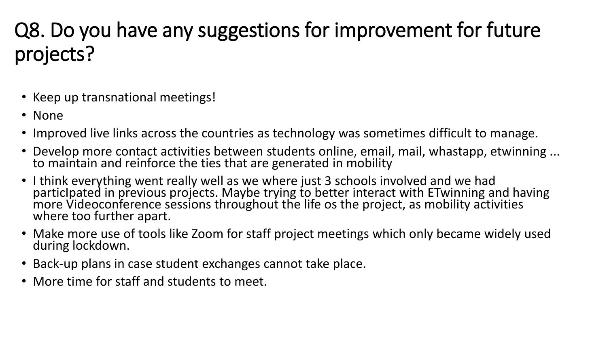# Q8. Do you have any suggestions for improvement for future projects?

- Keep up transnational meetings!
- None
- Improved live links across the countries as technology was sometimes difficult to manage.
- Develop more contact activities between students online, email, mail, whastapp, etwinning ... to maintain and reinforce the ties that are generated in mobility
- I think everything went really well as we where just 3 schools involved and we had particIpated in previous projects. Maybe trying to better interact with ETwinning and having<br>more Videoconference sessions throughout the life os the project, as mobility activities<br>where too further apart.
- Make more use of tools like Zoom for staff project meetings which only became widely used during lockdown.
- Back-up plans in case student exchanges cannot take place.
- More time for staff and students to meet.